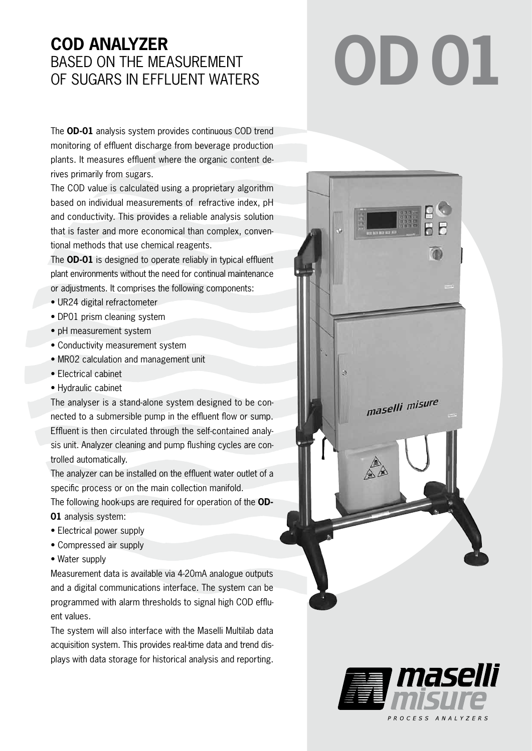# **COD ANALYZER** BASED ON THE MEASUREMENT OF SUGARS IN EFFLUENT WATERS

The **OD-01** analysis system provides continuous COD trend monitoring of effluent discharge from beverage production plants. It measures effluent where the organic content derives primarily from sugars.

The COD value is calculated using a proprietary algorithm based on individual measurements of refractive index, pH and conductivity. This provides a reliable analysis solution that is faster and more economical than complex, conventional methods that use chemical reagents.

The **OD-01** is designed to operate reliably in typical effluent plant environments without the need for continual maintenance or adjustments. It comprises the following components:

- UR24 digital refractometer
- DP01 prism cleaning system
- pH measurement system
- Conductivity measurement system
- MR02 calculation and management unit
- Electrical cabinet
- Hydraulic cabinet

The analyser is a stand-alone system designed to be connected to a submersible pump in the effluent flow or sump. Effluent is then circulated through the self-contained analysis unit. Analyzer cleaning and pump flushing cycles are controlled automatically.

The analyzer can be installed on the effluent water outlet of a specific process or on the main collection manifold.

The following hook-ups are required for operation of the **OD-01** analysis system:

- Electrical power supply
- Compressed air supply
- Water supply

Measurement data is available via 4-20mA analogue outputs and a digital communications interface. The system can be programmed with alarm thresholds to signal high COD effluent values.

The system will also interface with the Maselli Multilab data acquisition system. This provides real-time data and trend displays with data storage for historical analysis and reporting.

# **OD01**